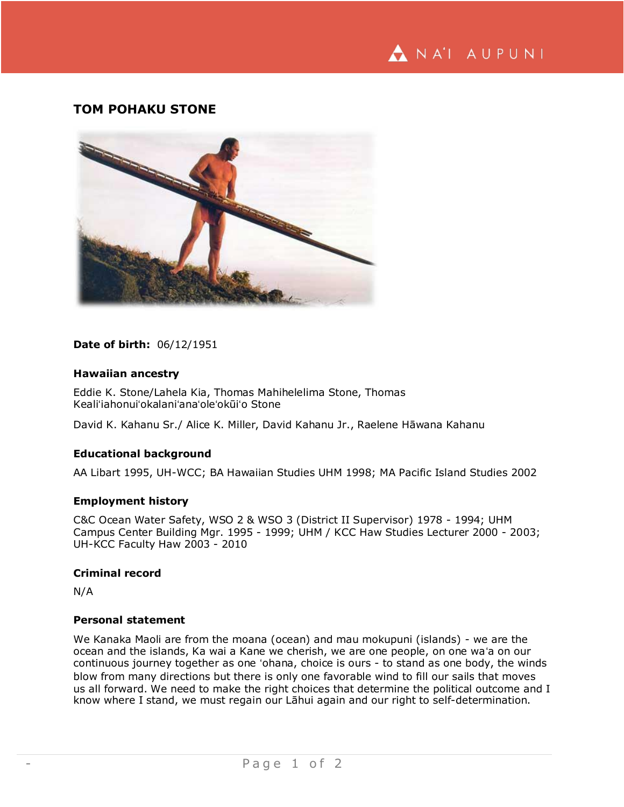

# **TOM POHAKU STONE**



## **Date of birth:** 06/12/1951

## **Hawaiian ancestry**

Eddie K. Stone/Lahela Kia, Thomas Mahihelelima Stone, Thomas Kealiʻiahonuiʻokalaniʻanaʻoleʻokūiʻo Stone

David K. Kahanu Sr./ Alice K. Miller, David Kahanu Jr., Raelene Hāwana Kahanu

## **Educational background**

AA Libart 1995, UH-WCC; BA Hawaiian Studies UHM 1998; MA Pacific Island Studies 2002

## **Employment history**

C&C Ocean Water Safety, WSO 2 & WSO 3 (District II Supervisor) 1978 - 1994; UHM Campus Center Building Mgr. 1995 - 1999; UHM / KCC Haw Studies Lecturer 2000 - 2003; UH-KCC Faculty Haw 2003 - 2010

#### **Criminal record**

N/A

#### **Personal statement**

We Kanaka Maoli are from the moana (ocean) and mau mokupuni (islands) - we are the ocean and the islands, Ka wai a Kane we cherish, we are one people, on one waʻa on our continuous journey together as one ʻohana, choice is ours - to stand as one body, the winds blow from many directions but there is only one favorable wind to fill our sails that moves us all forward. We need to make the right choices that determine the political outcome and I know where I stand, we must regain our Lāhui again and our right to self-determination.